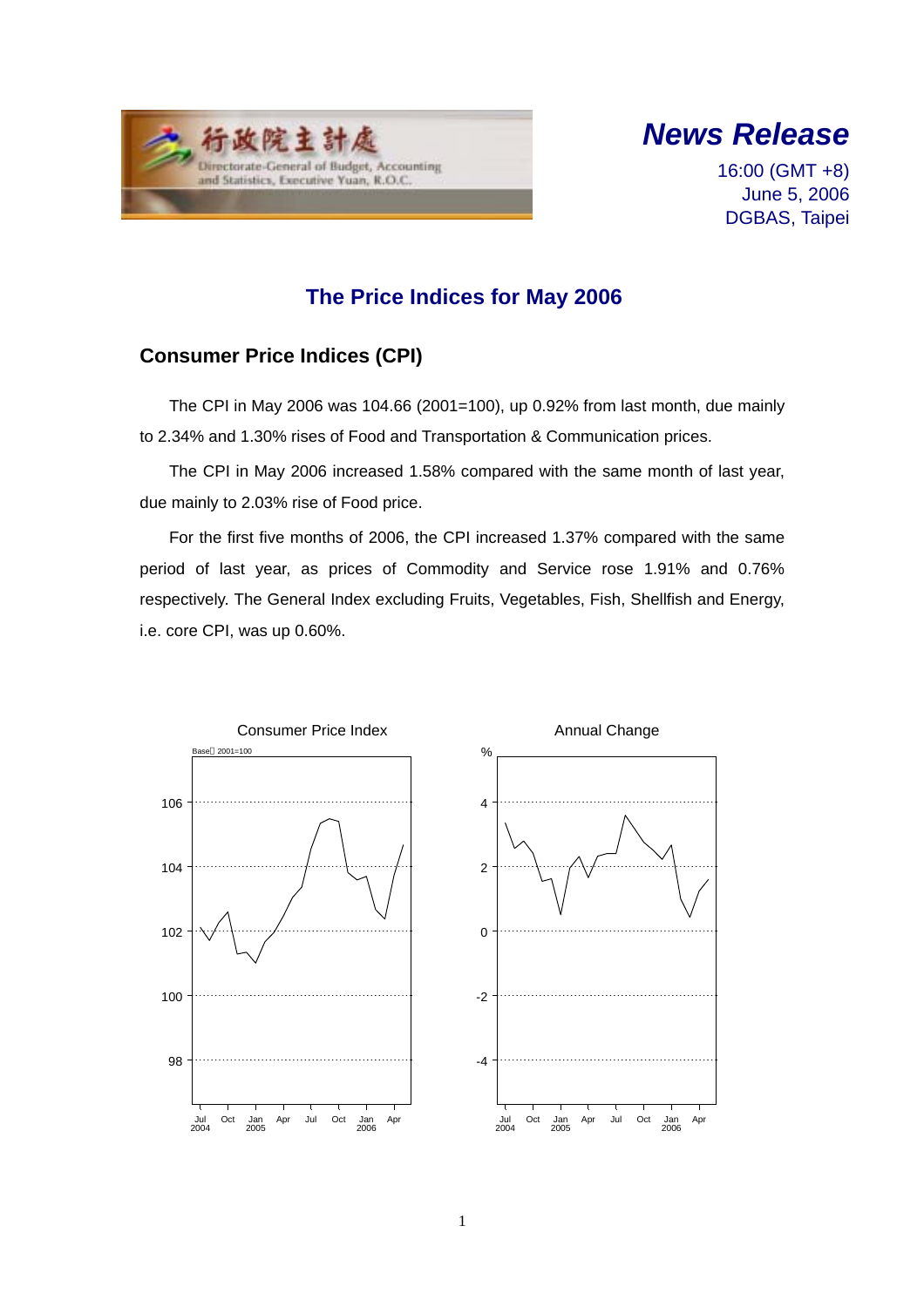



16:00 (GMT +8) June 5, 2006 DGBAS, Taipei

## **The Price Indices for May 2006**

### **Consumer Price Indices (CPI)**

The CPI in May 2006 was 104.66 (2001=100), up 0.92% from last month, due mainly to 2.34% and 1.30% rises of Food and Transportation & Communication prices.

The CPI in May 2006 increased 1.58% compared with the same month of last year, due mainly to 2.03% rise of Food price.

For the first five months of 2006, the CPI increased 1.37% compared with the same period of last year, as prices of Commodity and Service rose 1.91% and 0.76% respectively. The General Index excluding Fruits, Vegetables, Fish, Shellfish and Energy, i.e. core CPI, was up 0.60%.

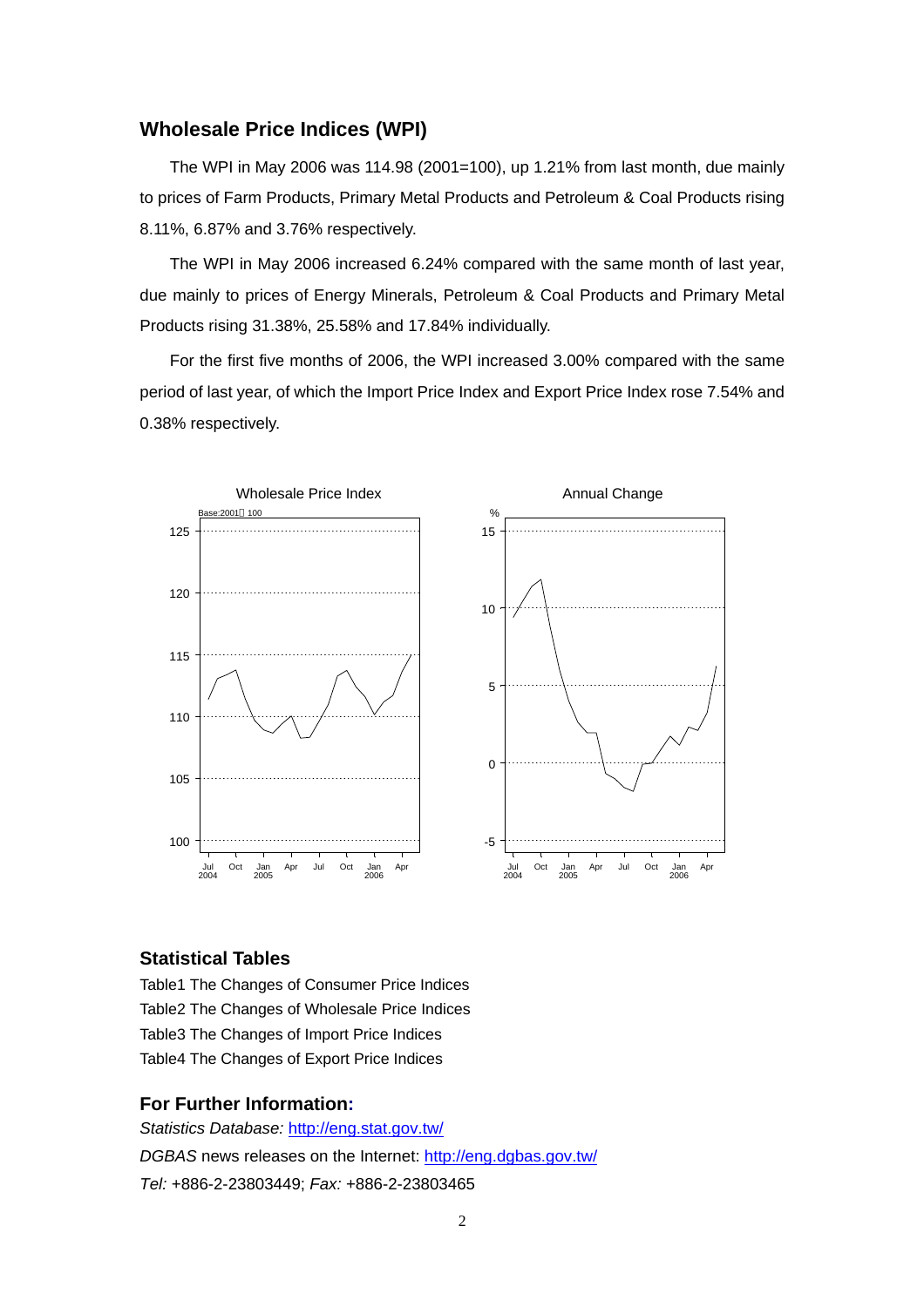#### **Wholesale Price Indices (WPI)**

The WPI in May 2006 was 114.98 (2001=100), up 1.21% from last month, due mainly to prices of Farm Products, Primary Metal Products and Petroleum & Coal Products rising 8.11%, 6.87% and 3.76% respectively.

The WPI in May 2006 increased 6.24% compared with the same month of last year, due mainly to prices of Energy Minerals, Petroleum & Coal Products and Primary Metal Products rising 31.38%, 25.58% and 17.84% individually.

For the first five months of 2006, the WPI increased 3.00% compared with the same period of last year, of which the Import Price Index and Export Price Index rose 7.54% and 0.38% respectively.



#### **Statistical Tables**

Table1 The Changes of Consumer Price Indices Table2 The Changes of Wholesale Price Indices Table3 The Changes of Import Price Indices Table4 The Changes of Export Price Indices

#### **For Further Information:**

*Statistics Database:* http://eng.stat.gov.tw/ *DGBAS* news releases on the Internet: http://eng.dgbas.gov.tw/ *Tel:* +886-2-23803449; *Fax:* +886-2-23803465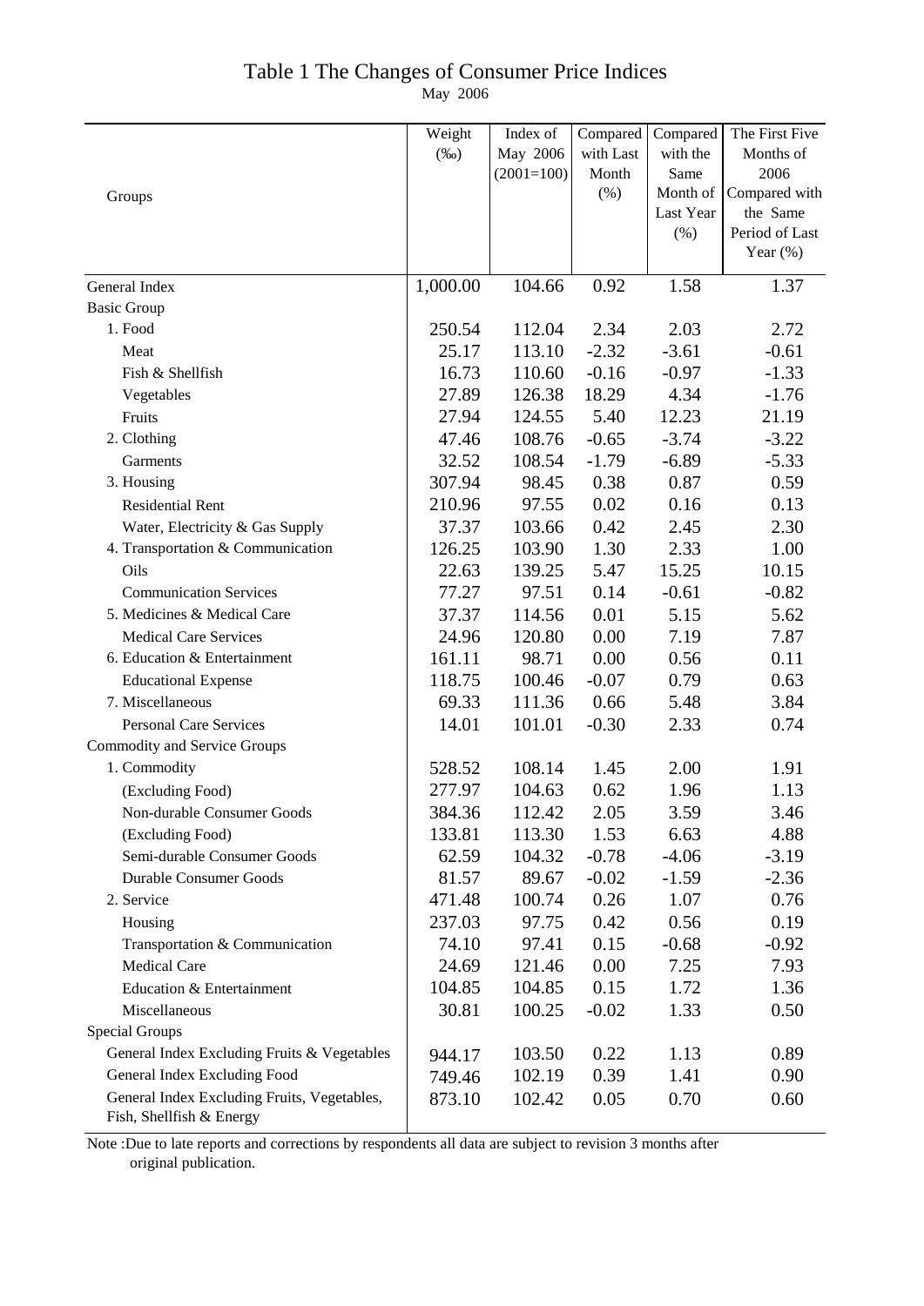## Table 1 The Changes of Consumer Price Indices

May 2006

|                                                                         | Weight   | Index of     | Compared  | Compared  | The First Five |
|-------------------------------------------------------------------------|----------|--------------|-----------|-----------|----------------|
|                                                                         | $(\%0)$  | May 2006     | with Last | with the  | Months of      |
|                                                                         |          | $(2001=100)$ | Month     | Same      | 2006           |
| Groups                                                                  |          |              | $(\% )$   | Month of  | Compared with  |
|                                                                         |          |              |           | Last Year | the Same       |
|                                                                         |          |              |           | (%)       | Period of Last |
|                                                                         |          |              |           |           | Year $(\%)$    |
| General Index                                                           | 1,000.00 | 104.66       | 0.92      | 1.58      | 1.37           |
| <b>Basic Group</b>                                                      |          |              |           |           |                |
| 1. Food                                                                 | 250.54   | 112.04       | 2.34      | 2.03      | 2.72           |
| Meat                                                                    | 25.17    | 113.10       | $-2.32$   | $-3.61$   | $-0.61$        |
| Fish & Shellfish                                                        | 16.73    | 110.60       | $-0.16$   | $-0.97$   | $-1.33$        |
| Vegetables                                                              | 27.89    | 126.38       | 18.29     | 4.34      | $-1.76$        |
| Fruits                                                                  | 27.94    | 124.55       | 5.40      | 12.23     | 21.19          |
| 2. Clothing                                                             | 47.46    | 108.76       | $-0.65$   | $-3.74$   | $-3.22$        |
| Garments                                                                | 32.52    | 108.54       | $-1.79$   | $-6.89$   | $-5.33$        |
| 3. Housing                                                              | 307.94   | 98.45        | 0.38      | 0.87      | 0.59           |
| <b>Residential Rent</b>                                                 | 210.96   | 97.55        | 0.02      | 0.16      | 0.13           |
| Water, Electricity & Gas Supply                                         | 37.37    | 103.66       | 0.42      | 2.45      | 2.30           |
| 4. Transportation & Communication                                       | 126.25   | 103.90       | 1.30      | 2.33      | 1.00           |
| Oils                                                                    | 22.63    | 139.25       | 5.47      | 15.25     | 10.15          |
| <b>Communication Services</b>                                           | 77.27    | 97.51        | 0.14      | $-0.61$   | $-0.82$        |
| 5. Medicines & Medical Care                                             | 37.37    | 114.56       | 0.01      | 5.15      | 5.62           |
| <b>Medical Care Services</b>                                            | 24.96    | 120.80       | 0.00      | 7.19      | 7.87           |
| 6. Education & Entertainment                                            | 161.11   | 98.71        | 0.00      | 0.56      | 0.11           |
| <b>Educational Expense</b>                                              | 118.75   | 100.46       | $-0.07$   | 0.79      | 0.63           |
| 7. Miscellaneous                                                        | 69.33    | 111.36       | 0.66      | 5.48      | 3.84           |
| <b>Personal Care Services</b>                                           | 14.01    | 101.01       | $-0.30$   | 2.33      | 0.74           |
| <b>Commodity and Service Groups</b>                                     |          |              |           |           |                |
| 1. Commodity                                                            | 528.52   | 108.14       | 1.45      | 2.00      | 1.91           |
| (Excluding Food)                                                        | 277.97   | 104.63       | 0.62      | 1.96      | 1.13           |
| Non-durable Consumer Goods                                              | 384.36   | 112.42       | 2.05      | 3.59      | 3.46           |
| (Excluding Food)                                                        | 133.81   | 113.30       | 1.53      | 6.63      | 4.88           |
| Semi-durable Consumer Goods                                             | 62.59    | 104.32       | $-0.78$   | $-4.06$   | $-3.19$        |
| <b>Durable Consumer Goods</b>                                           | 81.57    | 89.67        | $-0.02$   | $-1.59$   | $-2.36$        |
| 2. Service                                                              | 471.48   | 100.74       | 0.26      | 1.07      | 0.76           |
| Housing                                                                 | 237.03   | 97.75        | 0.42      | 0.56      | 0.19           |
| Transportation & Communication                                          | 74.10    | 97.41        | 0.15      | $-0.68$   | $-0.92$        |
| <b>Medical Care</b>                                                     | 24.69    | 121.46       | 0.00      | 7.25      | 7.93           |
| Education & Entertainment                                               | 104.85   | 104.85       | 0.15      | 1.72      | 1.36           |
| Miscellaneous                                                           | 30.81    | 100.25       | $-0.02$   | 1.33      | 0.50           |
| <b>Special Groups</b>                                                   |          |              |           |           |                |
| General Index Excluding Fruits & Vegetables                             | 944.17   | 103.50       | 0.22      | 1.13      | 0.89           |
| General Index Excluding Food                                            | 749.46   | 102.19       | 0.39      | 1.41      | 0.90           |
| General Index Excluding Fruits, Vegetables,<br>Fish, Shellfish & Energy | 873.10   | 102.42       | 0.05      | 0.70      | 0.60           |

Note :Due to late reports and corrections by respondents all data are subject to revision 3 months after original publication.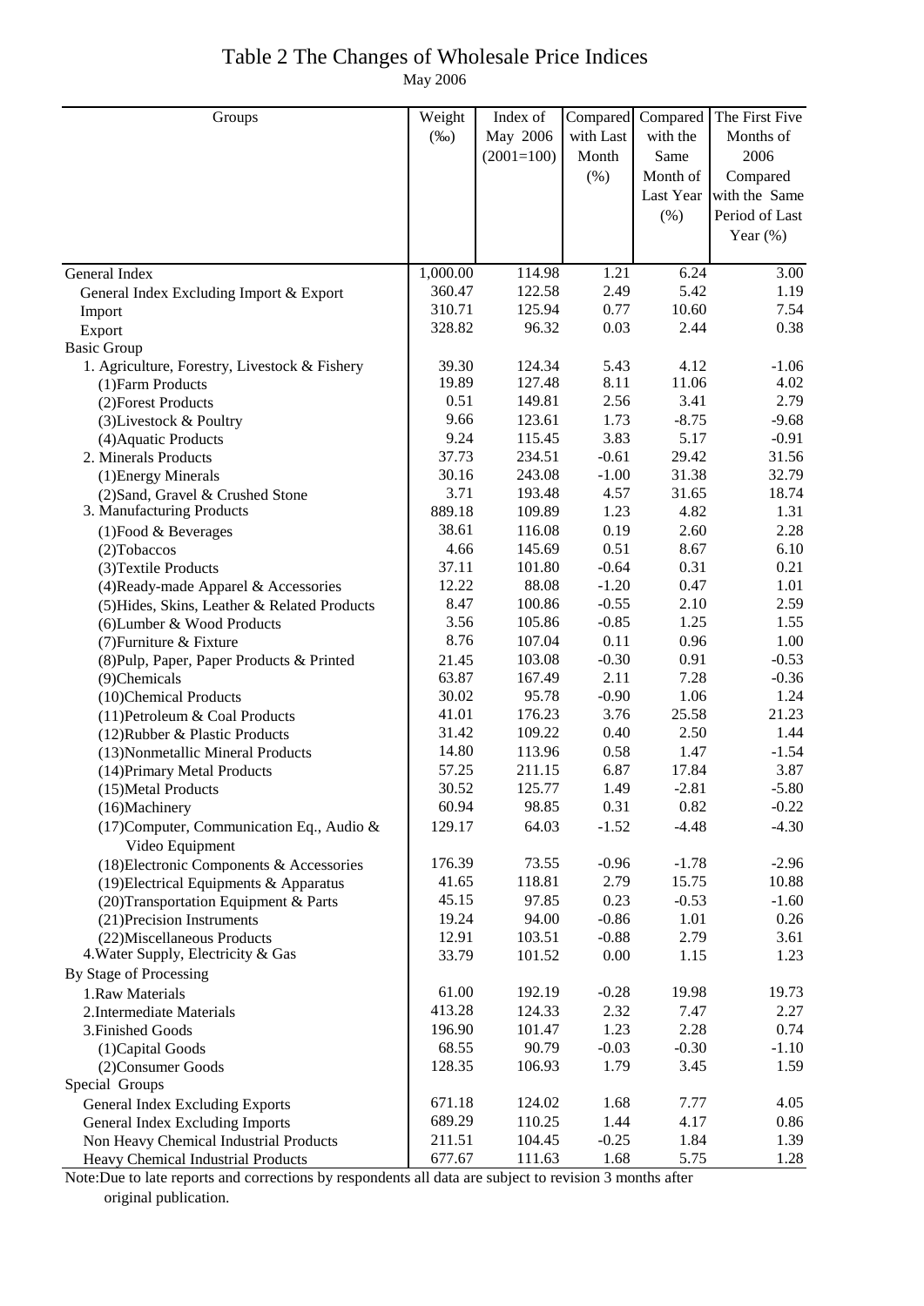### Table 2 The Changes of Wholesale Price Indices May 2006

| May 2006<br>with Last<br>with the<br>Months of<br>$(\%0)$<br>2006<br>$(2001=100)$<br>Same<br>Month<br>(% )<br>Compared<br>Month of<br>Last Year with the Same<br>Period of Last<br>(%)<br>Year $(\%)$<br>1,000.00<br>1.21<br>114.98<br>6.24<br>3.00<br>General Index<br>360.47<br>2.49<br>5.42<br>122.58<br>1.19<br>General Index Excluding Import & Export<br>0.77<br>310.71<br>125.94<br>10.60<br>7.54<br>Import<br>328.82<br>96.32<br>0.03<br>2.44<br>0.38<br>Export<br><b>Basic Group</b><br>1. Agriculture, Forestry, Livestock & Fishery<br>39.30<br>124.34<br>5.43<br>4.12<br>$-1.06$<br>19.89<br>127.48<br>8.11<br>11.06<br>4.02<br>(1) Farm Products<br>0.51<br>2.56<br>3.41<br>2.79<br>149.81<br>(2) Forest Products<br>$-8.75$<br>9.66<br>123.61<br>1.73<br>$-9.68$<br>(3) Livestock & Poultry<br>9.24<br>3.83<br>5.17<br>115.45<br>$-0.91$<br>(4) Aquatic Products<br>37.73<br>234.51<br>$-0.61$<br>29.42<br>31.56<br>2. Minerals Products<br>32.79<br>30.16<br>243.08<br>$-1.00$<br>31.38<br>(1) Energy Minerals<br>3.71<br>193.48<br>4.57<br>31.65<br>18.74<br>(2) Sand, Gravel & Crushed Stone<br>3. Manufacturing Products<br>889.18<br>1.23<br>4.82<br>1.31<br>109.89<br>38.61<br>0.19<br>2.60<br>2.28<br>116.08<br>$(1)$ Food & Beverages<br>4.66<br>0.51<br>145.69<br>8.67<br>6.10<br>(2) Tobaccos<br>37.11<br>$-0.64$<br>0.31<br>101.80<br>0.21<br>(3) Textile Products<br>0.47<br>12.22<br>88.08<br>$-1.20$<br>1.01<br>(4) Ready-made Apparel & Accessories<br>8.47<br>100.86<br>$-0.55$<br>2.10<br>2.59<br>(5) Hides, Skins, Leather & Related Products<br>$-0.85$<br>1.25<br>3.56<br>105.86<br>1.55<br>(6) Lumber & Wood Products<br>0.11<br>8.76<br>0.96<br>107.04<br>1.00<br>(7) Furniture & Fixture<br>0.91<br>$-0.30$<br>$-0.53$<br>103.08<br>(8) Pulp, Paper, Paper Products & Printed<br>21.45<br>63.87<br>2.11<br>7.28<br>167.49<br>$-0.36$<br>(9)Chemicals<br>30.02<br>95.78<br>$-0.90$<br>1.06<br>1.24<br>(10)Chemical Products<br>3.76<br>25.58<br>21.23<br>41.01<br>176.23<br>(11) Petroleum & Coal Products<br>31.42<br>2.50<br>109.22<br>0.40<br>1.44<br>(12) Rubber & Plastic Products<br>0.58<br>1.47<br>14.80<br>113.96<br>$-1.54$<br>(13) Nonmetallic Mineral Products<br>57.25<br>6.87<br>17.84<br>3.87<br>211.15<br>(14) Primary Metal Products<br>30.52<br>1.49<br>$-2.81$<br>$-5.80$<br>125.77<br>(15) Metal Products<br>98.85<br>0.31<br>0.82<br>$-0.22$<br>60.94<br>(16)Machinery<br>64.03<br>(17) Computer, Communication Eq., Audio &<br>129.17<br>$-1.52$<br>$-4.48$<br>$-4.30$<br>Video Equipment<br>73.55<br>$-0.96$<br>$-2.96$<br>176.39<br>$-1.78$<br>(18) Electronic Components & Accessories<br>41.65<br>118.81<br>2.79<br>15.75<br>10.88<br>(19) Electrical Equipments & Apparatus<br>0.23<br>$-0.53$<br>45.15<br>97.85<br>$-1.60$<br>(20) Transportation Equipment & Parts<br>94.00<br>$-0.86$<br>1.01<br>19.24<br>0.26<br>(21) Precision Instruments<br>12.91<br>103.51<br>$-0.88$<br>2.79<br>(22) Miscellaneous Products<br>3.61<br>4. Water Supply, Electricity & Gas<br>33.79<br>101.52<br>0.00<br>1.15<br>1.23<br>By Stage of Processing<br>$-0.28$<br>19.73<br>1.Raw Materials<br>61.00<br>192.19<br>19.98<br>413.28<br>2.32<br>7.47<br>2.27<br>124.33<br>2. Intermediate Materials<br>1.23<br>2.28<br>0.74<br>196.90<br>101.47<br>3. Finished Goods<br>68.55<br>90.79<br>$-0.03$<br>$-0.30$<br>$-1.10$<br>(1) Capital Goods<br>128.35<br>106.93<br>1.79<br>3.45<br>1.59<br>(2) Consumer Goods<br>Special Groups<br>7.77<br>671.18<br>124.02<br>1.68<br>4.05<br><b>General Index Excluding Exports</b><br>689.29<br>110.25<br>1.44<br>4.17<br>0.86<br>General Index Excluding Imports<br>211.51<br>$-0.25$<br>104.45<br>1.84<br>1.39<br>Non Heavy Chemical Industrial Products<br>5.75<br>677.67<br>111.63<br>1.68<br>1.28<br>Heavy Chemical Industrial Products | Groups | Weight | Index of | Compared | Compared The First Five |
|---------------------------------------------------------------------------------------------------------------------------------------------------------------------------------------------------------------------------------------------------------------------------------------------------------------------------------------------------------------------------------------------------------------------------------------------------------------------------------------------------------------------------------------------------------------------------------------------------------------------------------------------------------------------------------------------------------------------------------------------------------------------------------------------------------------------------------------------------------------------------------------------------------------------------------------------------------------------------------------------------------------------------------------------------------------------------------------------------------------------------------------------------------------------------------------------------------------------------------------------------------------------------------------------------------------------------------------------------------------------------------------------------------------------------------------------------------------------------------------------------------------------------------------------------------------------------------------------------------------------------------------------------------------------------------------------------------------------------------------------------------------------------------------------------------------------------------------------------------------------------------------------------------------------------------------------------------------------------------------------------------------------------------------------------------------------------------------------------------------------------------------------------------------------------------------------------------------------------------------------------------------------------------------------------------------------------------------------------------------------------------------------------------------------------------------------------------------------------------------------------------------------------------------------------------------------------------------------------------------------------------------------------------------------------------------------------------------------------------------------------------------------------------------------------------------------------------------------------------------------------------------------------------------------------------------------------------------------------------------------------------------------------------------------------------------------------------------------------------------------------------------------------------------------------------------------------------------------------------------------------------------------------------------------------------------------------------------------------------------------------------------------------------------------------------------------------------------------------------------------------------------------------------------------------------------------------------------------------------------------------------------------------------------------------------------------------------------------------------------------------------------------------------------------------------------------------------|--------|--------|----------|----------|-------------------------|
|                                                                                                                                                                                                                                                                                                                                                                                                                                                                                                                                                                                                                                                                                                                                                                                                                                                                                                                                                                                                                                                                                                                                                                                                                                                                                                                                                                                                                                                                                                                                                                                                                                                                                                                                                                                                                                                                                                                                                                                                                                                                                                                                                                                                                                                                                                                                                                                                                                                                                                                                                                                                                                                                                                                                                                                                                                                                                                                                                                                                                                                                                                                                                                                                                                                                                                                                                                                                                                                                                                                                                                                                                                                                                                                                                                                                                                 |        |        |          |          |                         |
|                                                                                                                                                                                                                                                                                                                                                                                                                                                                                                                                                                                                                                                                                                                                                                                                                                                                                                                                                                                                                                                                                                                                                                                                                                                                                                                                                                                                                                                                                                                                                                                                                                                                                                                                                                                                                                                                                                                                                                                                                                                                                                                                                                                                                                                                                                                                                                                                                                                                                                                                                                                                                                                                                                                                                                                                                                                                                                                                                                                                                                                                                                                                                                                                                                                                                                                                                                                                                                                                                                                                                                                                                                                                                                                                                                                                                                 |        |        |          |          |                         |
|                                                                                                                                                                                                                                                                                                                                                                                                                                                                                                                                                                                                                                                                                                                                                                                                                                                                                                                                                                                                                                                                                                                                                                                                                                                                                                                                                                                                                                                                                                                                                                                                                                                                                                                                                                                                                                                                                                                                                                                                                                                                                                                                                                                                                                                                                                                                                                                                                                                                                                                                                                                                                                                                                                                                                                                                                                                                                                                                                                                                                                                                                                                                                                                                                                                                                                                                                                                                                                                                                                                                                                                                                                                                                                                                                                                                                                 |        |        |          |          |                         |
|                                                                                                                                                                                                                                                                                                                                                                                                                                                                                                                                                                                                                                                                                                                                                                                                                                                                                                                                                                                                                                                                                                                                                                                                                                                                                                                                                                                                                                                                                                                                                                                                                                                                                                                                                                                                                                                                                                                                                                                                                                                                                                                                                                                                                                                                                                                                                                                                                                                                                                                                                                                                                                                                                                                                                                                                                                                                                                                                                                                                                                                                                                                                                                                                                                                                                                                                                                                                                                                                                                                                                                                                                                                                                                                                                                                                                                 |        |        |          |          |                         |
|                                                                                                                                                                                                                                                                                                                                                                                                                                                                                                                                                                                                                                                                                                                                                                                                                                                                                                                                                                                                                                                                                                                                                                                                                                                                                                                                                                                                                                                                                                                                                                                                                                                                                                                                                                                                                                                                                                                                                                                                                                                                                                                                                                                                                                                                                                                                                                                                                                                                                                                                                                                                                                                                                                                                                                                                                                                                                                                                                                                                                                                                                                                                                                                                                                                                                                                                                                                                                                                                                                                                                                                                                                                                                                                                                                                                                                 |        |        |          |          |                         |
|                                                                                                                                                                                                                                                                                                                                                                                                                                                                                                                                                                                                                                                                                                                                                                                                                                                                                                                                                                                                                                                                                                                                                                                                                                                                                                                                                                                                                                                                                                                                                                                                                                                                                                                                                                                                                                                                                                                                                                                                                                                                                                                                                                                                                                                                                                                                                                                                                                                                                                                                                                                                                                                                                                                                                                                                                                                                                                                                                                                                                                                                                                                                                                                                                                                                                                                                                                                                                                                                                                                                                                                                                                                                                                                                                                                                                                 |        |        |          |          |                         |
|                                                                                                                                                                                                                                                                                                                                                                                                                                                                                                                                                                                                                                                                                                                                                                                                                                                                                                                                                                                                                                                                                                                                                                                                                                                                                                                                                                                                                                                                                                                                                                                                                                                                                                                                                                                                                                                                                                                                                                                                                                                                                                                                                                                                                                                                                                                                                                                                                                                                                                                                                                                                                                                                                                                                                                                                                                                                                                                                                                                                                                                                                                                                                                                                                                                                                                                                                                                                                                                                                                                                                                                                                                                                                                                                                                                                                                 |        |        |          |          |                         |
|                                                                                                                                                                                                                                                                                                                                                                                                                                                                                                                                                                                                                                                                                                                                                                                                                                                                                                                                                                                                                                                                                                                                                                                                                                                                                                                                                                                                                                                                                                                                                                                                                                                                                                                                                                                                                                                                                                                                                                                                                                                                                                                                                                                                                                                                                                                                                                                                                                                                                                                                                                                                                                                                                                                                                                                                                                                                                                                                                                                                                                                                                                                                                                                                                                                                                                                                                                                                                                                                                                                                                                                                                                                                                                                                                                                                                                 |        |        |          |          |                         |
|                                                                                                                                                                                                                                                                                                                                                                                                                                                                                                                                                                                                                                                                                                                                                                                                                                                                                                                                                                                                                                                                                                                                                                                                                                                                                                                                                                                                                                                                                                                                                                                                                                                                                                                                                                                                                                                                                                                                                                                                                                                                                                                                                                                                                                                                                                                                                                                                                                                                                                                                                                                                                                                                                                                                                                                                                                                                                                                                                                                                                                                                                                                                                                                                                                                                                                                                                                                                                                                                                                                                                                                                                                                                                                                                                                                                                                 |        |        |          |          |                         |
|                                                                                                                                                                                                                                                                                                                                                                                                                                                                                                                                                                                                                                                                                                                                                                                                                                                                                                                                                                                                                                                                                                                                                                                                                                                                                                                                                                                                                                                                                                                                                                                                                                                                                                                                                                                                                                                                                                                                                                                                                                                                                                                                                                                                                                                                                                                                                                                                                                                                                                                                                                                                                                                                                                                                                                                                                                                                                                                                                                                                                                                                                                                                                                                                                                                                                                                                                                                                                                                                                                                                                                                                                                                                                                                                                                                                                                 |        |        |          |          |                         |
|                                                                                                                                                                                                                                                                                                                                                                                                                                                                                                                                                                                                                                                                                                                                                                                                                                                                                                                                                                                                                                                                                                                                                                                                                                                                                                                                                                                                                                                                                                                                                                                                                                                                                                                                                                                                                                                                                                                                                                                                                                                                                                                                                                                                                                                                                                                                                                                                                                                                                                                                                                                                                                                                                                                                                                                                                                                                                                                                                                                                                                                                                                                                                                                                                                                                                                                                                                                                                                                                                                                                                                                                                                                                                                                                                                                                                                 |        |        |          |          |                         |
|                                                                                                                                                                                                                                                                                                                                                                                                                                                                                                                                                                                                                                                                                                                                                                                                                                                                                                                                                                                                                                                                                                                                                                                                                                                                                                                                                                                                                                                                                                                                                                                                                                                                                                                                                                                                                                                                                                                                                                                                                                                                                                                                                                                                                                                                                                                                                                                                                                                                                                                                                                                                                                                                                                                                                                                                                                                                                                                                                                                                                                                                                                                                                                                                                                                                                                                                                                                                                                                                                                                                                                                                                                                                                                                                                                                                                                 |        |        |          |          |                         |
|                                                                                                                                                                                                                                                                                                                                                                                                                                                                                                                                                                                                                                                                                                                                                                                                                                                                                                                                                                                                                                                                                                                                                                                                                                                                                                                                                                                                                                                                                                                                                                                                                                                                                                                                                                                                                                                                                                                                                                                                                                                                                                                                                                                                                                                                                                                                                                                                                                                                                                                                                                                                                                                                                                                                                                                                                                                                                                                                                                                                                                                                                                                                                                                                                                                                                                                                                                                                                                                                                                                                                                                                                                                                                                                                                                                                                                 |        |        |          |          |                         |
|                                                                                                                                                                                                                                                                                                                                                                                                                                                                                                                                                                                                                                                                                                                                                                                                                                                                                                                                                                                                                                                                                                                                                                                                                                                                                                                                                                                                                                                                                                                                                                                                                                                                                                                                                                                                                                                                                                                                                                                                                                                                                                                                                                                                                                                                                                                                                                                                                                                                                                                                                                                                                                                                                                                                                                                                                                                                                                                                                                                                                                                                                                                                                                                                                                                                                                                                                                                                                                                                                                                                                                                                                                                                                                                                                                                                                                 |        |        |          |          |                         |
|                                                                                                                                                                                                                                                                                                                                                                                                                                                                                                                                                                                                                                                                                                                                                                                                                                                                                                                                                                                                                                                                                                                                                                                                                                                                                                                                                                                                                                                                                                                                                                                                                                                                                                                                                                                                                                                                                                                                                                                                                                                                                                                                                                                                                                                                                                                                                                                                                                                                                                                                                                                                                                                                                                                                                                                                                                                                                                                                                                                                                                                                                                                                                                                                                                                                                                                                                                                                                                                                                                                                                                                                                                                                                                                                                                                                                                 |        |        |          |          |                         |
|                                                                                                                                                                                                                                                                                                                                                                                                                                                                                                                                                                                                                                                                                                                                                                                                                                                                                                                                                                                                                                                                                                                                                                                                                                                                                                                                                                                                                                                                                                                                                                                                                                                                                                                                                                                                                                                                                                                                                                                                                                                                                                                                                                                                                                                                                                                                                                                                                                                                                                                                                                                                                                                                                                                                                                                                                                                                                                                                                                                                                                                                                                                                                                                                                                                                                                                                                                                                                                                                                                                                                                                                                                                                                                                                                                                                                                 |        |        |          |          |                         |
|                                                                                                                                                                                                                                                                                                                                                                                                                                                                                                                                                                                                                                                                                                                                                                                                                                                                                                                                                                                                                                                                                                                                                                                                                                                                                                                                                                                                                                                                                                                                                                                                                                                                                                                                                                                                                                                                                                                                                                                                                                                                                                                                                                                                                                                                                                                                                                                                                                                                                                                                                                                                                                                                                                                                                                                                                                                                                                                                                                                                                                                                                                                                                                                                                                                                                                                                                                                                                                                                                                                                                                                                                                                                                                                                                                                                                                 |        |        |          |          |                         |
|                                                                                                                                                                                                                                                                                                                                                                                                                                                                                                                                                                                                                                                                                                                                                                                                                                                                                                                                                                                                                                                                                                                                                                                                                                                                                                                                                                                                                                                                                                                                                                                                                                                                                                                                                                                                                                                                                                                                                                                                                                                                                                                                                                                                                                                                                                                                                                                                                                                                                                                                                                                                                                                                                                                                                                                                                                                                                                                                                                                                                                                                                                                                                                                                                                                                                                                                                                                                                                                                                                                                                                                                                                                                                                                                                                                                                                 |        |        |          |          |                         |
|                                                                                                                                                                                                                                                                                                                                                                                                                                                                                                                                                                                                                                                                                                                                                                                                                                                                                                                                                                                                                                                                                                                                                                                                                                                                                                                                                                                                                                                                                                                                                                                                                                                                                                                                                                                                                                                                                                                                                                                                                                                                                                                                                                                                                                                                                                                                                                                                                                                                                                                                                                                                                                                                                                                                                                                                                                                                                                                                                                                                                                                                                                                                                                                                                                                                                                                                                                                                                                                                                                                                                                                                                                                                                                                                                                                                                                 |        |        |          |          |                         |
|                                                                                                                                                                                                                                                                                                                                                                                                                                                                                                                                                                                                                                                                                                                                                                                                                                                                                                                                                                                                                                                                                                                                                                                                                                                                                                                                                                                                                                                                                                                                                                                                                                                                                                                                                                                                                                                                                                                                                                                                                                                                                                                                                                                                                                                                                                                                                                                                                                                                                                                                                                                                                                                                                                                                                                                                                                                                                                                                                                                                                                                                                                                                                                                                                                                                                                                                                                                                                                                                                                                                                                                                                                                                                                                                                                                                                                 |        |        |          |          |                         |
|                                                                                                                                                                                                                                                                                                                                                                                                                                                                                                                                                                                                                                                                                                                                                                                                                                                                                                                                                                                                                                                                                                                                                                                                                                                                                                                                                                                                                                                                                                                                                                                                                                                                                                                                                                                                                                                                                                                                                                                                                                                                                                                                                                                                                                                                                                                                                                                                                                                                                                                                                                                                                                                                                                                                                                                                                                                                                                                                                                                                                                                                                                                                                                                                                                                                                                                                                                                                                                                                                                                                                                                                                                                                                                                                                                                                                                 |        |        |          |          |                         |
|                                                                                                                                                                                                                                                                                                                                                                                                                                                                                                                                                                                                                                                                                                                                                                                                                                                                                                                                                                                                                                                                                                                                                                                                                                                                                                                                                                                                                                                                                                                                                                                                                                                                                                                                                                                                                                                                                                                                                                                                                                                                                                                                                                                                                                                                                                                                                                                                                                                                                                                                                                                                                                                                                                                                                                                                                                                                                                                                                                                                                                                                                                                                                                                                                                                                                                                                                                                                                                                                                                                                                                                                                                                                                                                                                                                                                                 |        |        |          |          |                         |
|                                                                                                                                                                                                                                                                                                                                                                                                                                                                                                                                                                                                                                                                                                                                                                                                                                                                                                                                                                                                                                                                                                                                                                                                                                                                                                                                                                                                                                                                                                                                                                                                                                                                                                                                                                                                                                                                                                                                                                                                                                                                                                                                                                                                                                                                                                                                                                                                                                                                                                                                                                                                                                                                                                                                                                                                                                                                                                                                                                                                                                                                                                                                                                                                                                                                                                                                                                                                                                                                                                                                                                                                                                                                                                                                                                                                                                 |        |        |          |          |                         |
|                                                                                                                                                                                                                                                                                                                                                                                                                                                                                                                                                                                                                                                                                                                                                                                                                                                                                                                                                                                                                                                                                                                                                                                                                                                                                                                                                                                                                                                                                                                                                                                                                                                                                                                                                                                                                                                                                                                                                                                                                                                                                                                                                                                                                                                                                                                                                                                                                                                                                                                                                                                                                                                                                                                                                                                                                                                                                                                                                                                                                                                                                                                                                                                                                                                                                                                                                                                                                                                                                                                                                                                                                                                                                                                                                                                                                                 |        |        |          |          |                         |
|                                                                                                                                                                                                                                                                                                                                                                                                                                                                                                                                                                                                                                                                                                                                                                                                                                                                                                                                                                                                                                                                                                                                                                                                                                                                                                                                                                                                                                                                                                                                                                                                                                                                                                                                                                                                                                                                                                                                                                                                                                                                                                                                                                                                                                                                                                                                                                                                                                                                                                                                                                                                                                                                                                                                                                                                                                                                                                                                                                                                                                                                                                                                                                                                                                                                                                                                                                                                                                                                                                                                                                                                                                                                                                                                                                                                                                 |        |        |          |          |                         |
|                                                                                                                                                                                                                                                                                                                                                                                                                                                                                                                                                                                                                                                                                                                                                                                                                                                                                                                                                                                                                                                                                                                                                                                                                                                                                                                                                                                                                                                                                                                                                                                                                                                                                                                                                                                                                                                                                                                                                                                                                                                                                                                                                                                                                                                                                                                                                                                                                                                                                                                                                                                                                                                                                                                                                                                                                                                                                                                                                                                                                                                                                                                                                                                                                                                                                                                                                                                                                                                                                                                                                                                                                                                                                                                                                                                                                                 |        |        |          |          |                         |
|                                                                                                                                                                                                                                                                                                                                                                                                                                                                                                                                                                                                                                                                                                                                                                                                                                                                                                                                                                                                                                                                                                                                                                                                                                                                                                                                                                                                                                                                                                                                                                                                                                                                                                                                                                                                                                                                                                                                                                                                                                                                                                                                                                                                                                                                                                                                                                                                                                                                                                                                                                                                                                                                                                                                                                                                                                                                                                                                                                                                                                                                                                                                                                                                                                                                                                                                                                                                                                                                                                                                                                                                                                                                                                                                                                                                                                 |        |        |          |          |                         |
|                                                                                                                                                                                                                                                                                                                                                                                                                                                                                                                                                                                                                                                                                                                                                                                                                                                                                                                                                                                                                                                                                                                                                                                                                                                                                                                                                                                                                                                                                                                                                                                                                                                                                                                                                                                                                                                                                                                                                                                                                                                                                                                                                                                                                                                                                                                                                                                                                                                                                                                                                                                                                                                                                                                                                                                                                                                                                                                                                                                                                                                                                                                                                                                                                                                                                                                                                                                                                                                                                                                                                                                                                                                                                                                                                                                                                                 |        |        |          |          |                         |
|                                                                                                                                                                                                                                                                                                                                                                                                                                                                                                                                                                                                                                                                                                                                                                                                                                                                                                                                                                                                                                                                                                                                                                                                                                                                                                                                                                                                                                                                                                                                                                                                                                                                                                                                                                                                                                                                                                                                                                                                                                                                                                                                                                                                                                                                                                                                                                                                                                                                                                                                                                                                                                                                                                                                                                                                                                                                                                                                                                                                                                                                                                                                                                                                                                                                                                                                                                                                                                                                                                                                                                                                                                                                                                                                                                                                                                 |        |        |          |          |                         |
|                                                                                                                                                                                                                                                                                                                                                                                                                                                                                                                                                                                                                                                                                                                                                                                                                                                                                                                                                                                                                                                                                                                                                                                                                                                                                                                                                                                                                                                                                                                                                                                                                                                                                                                                                                                                                                                                                                                                                                                                                                                                                                                                                                                                                                                                                                                                                                                                                                                                                                                                                                                                                                                                                                                                                                                                                                                                                                                                                                                                                                                                                                                                                                                                                                                                                                                                                                                                                                                                                                                                                                                                                                                                                                                                                                                                                                 |        |        |          |          |                         |
|                                                                                                                                                                                                                                                                                                                                                                                                                                                                                                                                                                                                                                                                                                                                                                                                                                                                                                                                                                                                                                                                                                                                                                                                                                                                                                                                                                                                                                                                                                                                                                                                                                                                                                                                                                                                                                                                                                                                                                                                                                                                                                                                                                                                                                                                                                                                                                                                                                                                                                                                                                                                                                                                                                                                                                                                                                                                                                                                                                                                                                                                                                                                                                                                                                                                                                                                                                                                                                                                                                                                                                                                                                                                                                                                                                                                                                 |        |        |          |          |                         |
|                                                                                                                                                                                                                                                                                                                                                                                                                                                                                                                                                                                                                                                                                                                                                                                                                                                                                                                                                                                                                                                                                                                                                                                                                                                                                                                                                                                                                                                                                                                                                                                                                                                                                                                                                                                                                                                                                                                                                                                                                                                                                                                                                                                                                                                                                                                                                                                                                                                                                                                                                                                                                                                                                                                                                                                                                                                                                                                                                                                                                                                                                                                                                                                                                                                                                                                                                                                                                                                                                                                                                                                                                                                                                                                                                                                                                                 |        |        |          |          |                         |
|                                                                                                                                                                                                                                                                                                                                                                                                                                                                                                                                                                                                                                                                                                                                                                                                                                                                                                                                                                                                                                                                                                                                                                                                                                                                                                                                                                                                                                                                                                                                                                                                                                                                                                                                                                                                                                                                                                                                                                                                                                                                                                                                                                                                                                                                                                                                                                                                                                                                                                                                                                                                                                                                                                                                                                                                                                                                                                                                                                                                                                                                                                                                                                                                                                                                                                                                                                                                                                                                                                                                                                                                                                                                                                                                                                                                                                 |        |        |          |          |                         |
|                                                                                                                                                                                                                                                                                                                                                                                                                                                                                                                                                                                                                                                                                                                                                                                                                                                                                                                                                                                                                                                                                                                                                                                                                                                                                                                                                                                                                                                                                                                                                                                                                                                                                                                                                                                                                                                                                                                                                                                                                                                                                                                                                                                                                                                                                                                                                                                                                                                                                                                                                                                                                                                                                                                                                                                                                                                                                                                                                                                                                                                                                                                                                                                                                                                                                                                                                                                                                                                                                                                                                                                                                                                                                                                                                                                                                                 |        |        |          |          |                         |
|                                                                                                                                                                                                                                                                                                                                                                                                                                                                                                                                                                                                                                                                                                                                                                                                                                                                                                                                                                                                                                                                                                                                                                                                                                                                                                                                                                                                                                                                                                                                                                                                                                                                                                                                                                                                                                                                                                                                                                                                                                                                                                                                                                                                                                                                                                                                                                                                                                                                                                                                                                                                                                                                                                                                                                                                                                                                                                                                                                                                                                                                                                                                                                                                                                                                                                                                                                                                                                                                                                                                                                                                                                                                                                                                                                                                                                 |        |        |          |          |                         |
|                                                                                                                                                                                                                                                                                                                                                                                                                                                                                                                                                                                                                                                                                                                                                                                                                                                                                                                                                                                                                                                                                                                                                                                                                                                                                                                                                                                                                                                                                                                                                                                                                                                                                                                                                                                                                                                                                                                                                                                                                                                                                                                                                                                                                                                                                                                                                                                                                                                                                                                                                                                                                                                                                                                                                                                                                                                                                                                                                                                                                                                                                                                                                                                                                                                                                                                                                                                                                                                                                                                                                                                                                                                                                                                                                                                                                                 |        |        |          |          |                         |
|                                                                                                                                                                                                                                                                                                                                                                                                                                                                                                                                                                                                                                                                                                                                                                                                                                                                                                                                                                                                                                                                                                                                                                                                                                                                                                                                                                                                                                                                                                                                                                                                                                                                                                                                                                                                                                                                                                                                                                                                                                                                                                                                                                                                                                                                                                                                                                                                                                                                                                                                                                                                                                                                                                                                                                                                                                                                                                                                                                                                                                                                                                                                                                                                                                                                                                                                                                                                                                                                                                                                                                                                                                                                                                                                                                                                                                 |        |        |          |          |                         |
|                                                                                                                                                                                                                                                                                                                                                                                                                                                                                                                                                                                                                                                                                                                                                                                                                                                                                                                                                                                                                                                                                                                                                                                                                                                                                                                                                                                                                                                                                                                                                                                                                                                                                                                                                                                                                                                                                                                                                                                                                                                                                                                                                                                                                                                                                                                                                                                                                                                                                                                                                                                                                                                                                                                                                                                                                                                                                                                                                                                                                                                                                                                                                                                                                                                                                                                                                                                                                                                                                                                                                                                                                                                                                                                                                                                                                                 |        |        |          |          |                         |
|                                                                                                                                                                                                                                                                                                                                                                                                                                                                                                                                                                                                                                                                                                                                                                                                                                                                                                                                                                                                                                                                                                                                                                                                                                                                                                                                                                                                                                                                                                                                                                                                                                                                                                                                                                                                                                                                                                                                                                                                                                                                                                                                                                                                                                                                                                                                                                                                                                                                                                                                                                                                                                                                                                                                                                                                                                                                                                                                                                                                                                                                                                                                                                                                                                                                                                                                                                                                                                                                                                                                                                                                                                                                                                                                                                                                                                 |        |        |          |          |                         |
|                                                                                                                                                                                                                                                                                                                                                                                                                                                                                                                                                                                                                                                                                                                                                                                                                                                                                                                                                                                                                                                                                                                                                                                                                                                                                                                                                                                                                                                                                                                                                                                                                                                                                                                                                                                                                                                                                                                                                                                                                                                                                                                                                                                                                                                                                                                                                                                                                                                                                                                                                                                                                                                                                                                                                                                                                                                                                                                                                                                                                                                                                                                                                                                                                                                                                                                                                                                                                                                                                                                                                                                                                                                                                                                                                                                                                                 |        |        |          |          |                         |
|                                                                                                                                                                                                                                                                                                                                                                                                                                                                                                                                                                                                                                                                                                                                                                                                                                                                                                                                                                                                                                                                                                                                                                                                                                                                                                                                                                                                                                                                                                                                                                                                                                                                                                                                                                                                                                                                                                                                                                                                                                                                                                                                                                                                                                                                                                                                                                                                                                                                                                                                                                                                                                                                                                                                                                                                                                                                                                                                                                                                                                                                                                                                                                                                                                                                                                                                                                                                                                                                                                                                                                                                                                                                                                                                                                                                                                 |        |        |          |          |                         |
|                                                                                                                                                                                                                                                                                                                                                                                                                                                                                                                                                                                                                                                                                                                                                                                                                                                                                                                                                                                                                                                                                                                                                                                                                                                                                                                                                                                                                                                                                                                                                                                                                                                                                                                                                                                                                                                                                                                                                                                                                                                                                                                                                                                                                                                                                                                                                                                                                                                                                                                                                                                                                                                                                                                                                                                                                                                                                                                                                                                                                                                                                                                                                                                                                                                                                                                                                                                                                                                                                                                                                                                                                                                                                                                                                                                                                                 |        |        |          |          |                         |
|                                                                                                                                                                                                                                                                                                                                                                                                                                                                                                                                                                                                                                                                                                                                                                                                                                                                                                                                                                                                                                                                                                                                                                                                                                                                                                                                                                                                                                                                                                                                                                                                                                                                                                                                                                                                                                                                                                                                                                                                                                                                                                                                                                                                                                                                                                                                                                                                                                                                                                                                                                                                                                                                                                                                                                                                                                                                                                                                                                                                                                                                                                                                                                                                                                                                                                                                                                                                                                                                                                                                                                                                                                                                                                                                                                                                                                 |        |        |          |          |                         |
|                                                                                                                                                                                                                                                                                                                                                                                                                                                                                                                                                                                                                                                                                                                                                                                                                                                                                                                                                                                                                                                                                                                                                                                                                                                                                                                                                                                                                                                                                                                                                                                                                                                                                                                                                                                                                                                                                                                                                                                                                                                                                                                                                                                                                                                                                                                                                                                                                                                                                                                                                                                                                                                                                                                                                                                                                                                                                                                                                                                                                                                                                                                                                                                                                                                                                                                                                                                                                                                                                                                                                                                                                                                                                                                                                                                                                                 |        |        |          |          |                         |
|                                                                                                                                                                                                                                                                                                                                                                                                                                                                                                                                                                                                                                                                                                                                                                                                                                                                                                                                                                                                                                                                                                                                                                                                                                                                                                                                                                                                                                                                                                                                                                                                                                                                                                                                                                                                                                                                                                                                                                                                                                                                                                                                                                                                                                                                                                                                                                                                                                                                                                                                                                                                                                                                                                                                                                                                                                                                                                                                                                                                                                                                                                                                                                                                                                                                                                                                                                                                                                                                                                                                                                                                                                                                                                                                                                                                                                 |        |        |          |          |                         |
|                                                                                                                                                                                                                                                                                                                                                                                                                                                                                                                                                                                                                                                                                                                                                                                                                                                                                                                                                                                                                                                                                                                                                                                                                                                                                                                                                                                                                                                                                                                                                                                                                                                                                                                                                                                                                                                                                                                                                                                                                                                                                                                                                                                                                                                                                                                                                                                                                                                                                                                                                                                                                                                                                                                                                                                                                                                                                                                                                                                                                                                                                                                                                                                                                                                                                                                                                                                                                                                                                                                                                                                                                                                                                                                                                                                                                                 |        |        |          |          |                         |
|                                                                                                                                                                                                                                                                                                                                                                                                                                                                                                                                                                                                                                                                                                                                                                                                                                                                                                                                                                                                                                                                                                                                                                                                                                                                                                                                                                                                                                                                                                                                                                                                                                                                                                                                                                                                                                                                                                                                                                                                                                                                                                                                                                                                                                                                                                                                                                                                                                                                                                                                                                                                                                                                                                                                                                                                                                                                                                                                                                                                                                                                                                                                                                                                                                                                                                                                                                                                                                                                                                                                                                                                                                                                                                                                                                                                                                 |        |        |          |          |                         |
|                                                                                                                                                                                                                                                                                                                                                                                                                                                                                                                                                                                                                                                                                                                                                                                                                                                                                                                                                                                                                                                                                                                                                                                                                                                                                                                                                                                                                                                                                                                                                                                                                                                                                                                                                                                                                                                                                                                                                                                                                                                                                                                                                                                                                                                                                                                                                                                                                                                                                                                                                                                                                                                                                                                                                                                                                                                                                                                                                                                                                                                                                                                                                                                                                                                                                                                                                                                                                                                                                                                                                                                                                                                                                                                                                                                                                                 |        |        |          |          |                         |
|                                                                                                                                                                                                                                                                                                                                                                                                                                                                                                                                                                                                                                                                                                                                                                                                                                                                                                                                                                                                                                                                                                                                                                                                                                                                                                                                                                                                                                                                                                                                                                                                                                                                                                                                                                                                                                                                                                                                                                                                                                                                                                                                                                                                                                                                                                                                                                                                                                                                                                                                                                                                                                                                                                                                                                                                                                                                                                                                                                                                                                                                                                                                                                                                                                                                                                                                                                                                                                                                                                                                                                                                                                                                                                                                                                                                                                 |        |        |          |          |                         |
|                                                                                                                                                                                                                                                                                                                                                                                                                                                                                                                                                                                                                                                                                                                                                                                                                                                                                                                                                                                                                                                                                                                                                                                                                                                                                                                                                                                                                                                                                                                                                                                                                                                                                                                                                                                                                                                                                                                                                                                                                                                                                                                                                                                                                                                                                                                                                                                                                                                                                                                                                                                                                                                                                                                                                                                                                                                                                                                                                                                                                                                                                                                                                                                                                                                                                                                                                                                                                                                                                                                                                                                                                                                                                                                                                                                                                                 |        |        |          |          |                         |
|                                                                                                                                                                                                                                                                                                                                                                                                                                                                                                                                                                                                                                                                                                                                                                                                                                                                                                                                                                                                                                                                                                                                                                                                                                                                                                                                                                                                                                                                                                                                                                                                                                                                                                                                                                                                                                                                                                                                                                                                                                                                                                                                                                                                                                                                                                                                                                                                                                                                                                                                                                                                                                                                                                                                                                                                                                                                                                                                                                                                                                                                                                                                                                                                                                                                                                                                                                                                                                                                                                                                                                                                                                                                                                                                                                                                                                 |        |        |          |          |                         |
|                                                                                                                                                                                                                                                                                                                                                                                                                                                                                                                                                                                                                                                                                                                                                                                                                                                                                                                                                                                                                                                                                                                                                                                                                                                                                                                                                                                                                                                                                                                                                                                                                                                                                                                                                                                                                                                                                                                                                                                                                                                                                                                                                                                                                                                                                                                                                                                                                                                                                                                                                                                                                                                                                                                                                                                                                                                                                                                                                                                                                                                                                                                                                                                                                                                                                                                                                                                                                                                                                                                                                                                                                                                                                                                                                                                                                                 |        |        |          |          |                         |
|                                                                                                                                                                                                                                                                                                                                                                                                                                                                                                                                                                                                                                                                                                                                                                                                                                                                                                                                                                                                                                                                                                                                                                                                                                                                                                                                                                                                                                                                                                                                                                                                                                                                                                                                                                                                                                                                                                                                                                                                                                                                                                                                                                                                                                                                                                                                                                                                                                                                                                                                                                                                                                                                                                                                                                                                                                                                                                                                                                                                                                                                                                                                                                                                                                                                                                                                                                                                                                                                                                                                                                                                                                                                                                                                                                                                                                 |        |        |          |          |                         |
|                                                                                                                                                                                                                                                                                                                                                                                                                                                                                                                                                                                                                                                                                                                                                                                                                                                                                                                                                                                                                                                                                                                                                                                                                                                                                                                                                                                                                                                                                                                                                                                                                                                                                                                                                                                                                                                                                                                                                                                                                                                                                                                                                                                                                                                                                                                                                                                                                                                                                                                                                                                                                                                                                                                                                                                                                                                                                                                                                                                                                                                                                                                                                                                                                                                                                                                                                                                                                                                                                                                                                                                                                                                                                                                                                                                                                                 |        |        |          |          |                         |

Note:Due to late reports and corrections by respondents all data are subject to revision 3 months after original publication.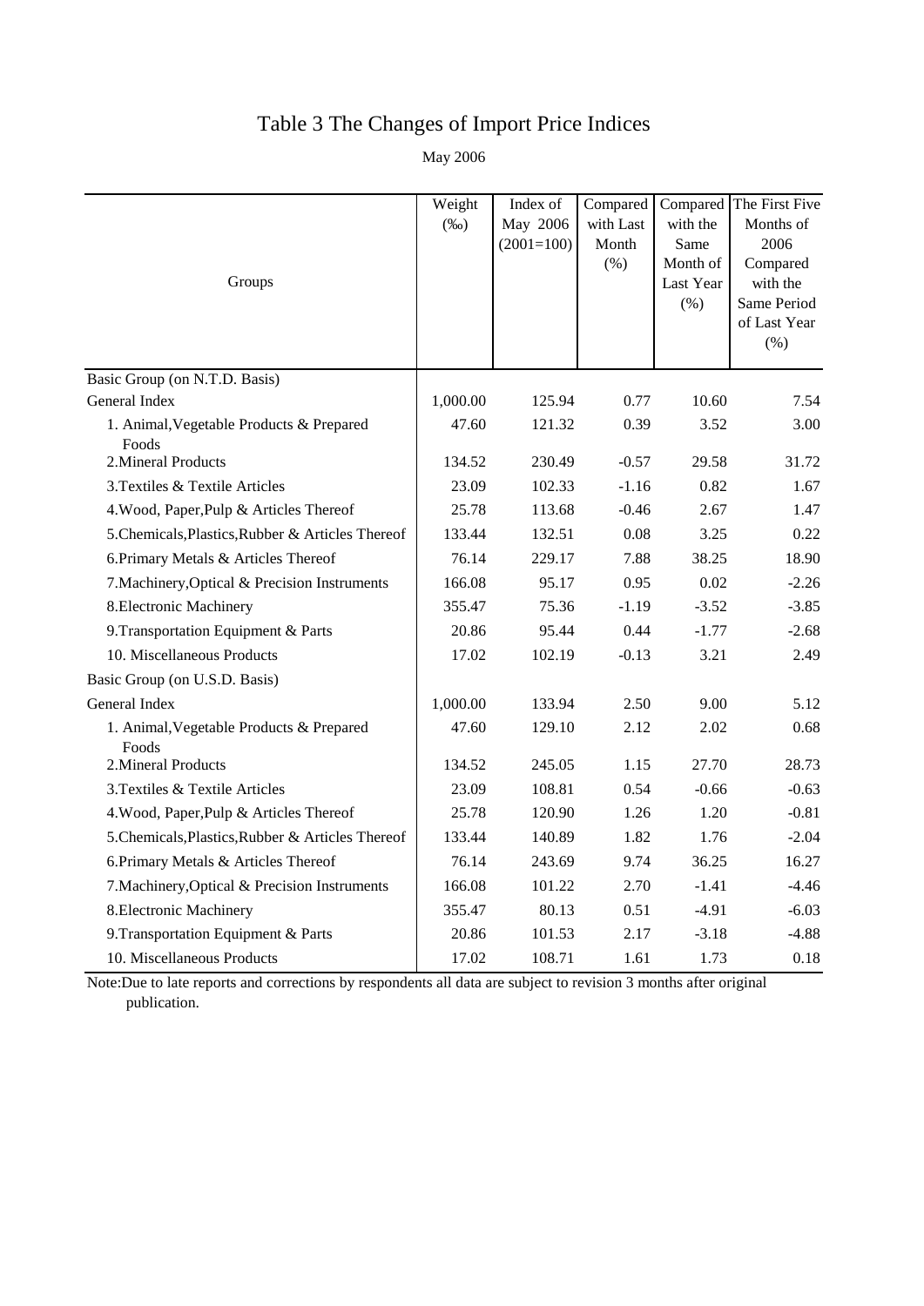# Table 3 The Changes of Import Price Indices

May 2006

|                                                   | Weight   | Index of     | Compared  |                       | Compared The First Five |
|---------------------------------------------------|----------|--------------|-----------|-----------------------|-------------------------|
|                                                   | $(\%0)$  | May 2006     | with Last | with the              | Months of               |
|                                                   |          | $(2001=100)$ | Month     | Same                  | 2006                    |
| Groups                                            |          |              | (% )      | Month of<br>Last Year | Compared<br>with the    |
|                                                   |          |              |           | (% )                  | Same Period             |
|                                                   |          |              |           |                       | of Last Year            |
|                                                   |          |              |           |                       | (% )                    |
| Basic Group (on N.T.D. Basis)                     |          |              |           |                       |                         |
| General Index                                     | 1,000.00 | 125.94       | 0.77      | 10.60                 | 7.54                    |
| 1. Animal, Vegetable Products & Prepared<br>Foods | 47.60    | 121.32       | 0.39      | 3.52                  | 3.00                    |
| 2. Mineral Products                               | 134.52   | 230.49       | $-0.57$   | 29.58                 | 31.72                   |
| 3. Textiles & Textile Articles                    | 23.09    | 102.33       | $-1.16$   | 0.82                  | 1.67                    |
| 4. Wood, Paper, Pulp & Articles Thereof           | 25.78    | 113.68       | $-0.46$   | 2.67                  | 1.47                    |
| 5. Chemicals, Plastics, Rubber & Articles Thereof | 133.44   | 132.51       | 0.08      | 3.25                  | 0.22                    |
| 6. Primary Metals & Articles Thereof              | 76.14    | 229.17       | 7.88      | 38.25                 | 18.90                   |
| 7. Machinery, Optical & Precision Instruments     | 166.08   | 95.17        | 0.95      | 0.02                  | $-2.26$                 |
| 8. Electronic Machinery                           | 355.47   | 75.36        | $-1.19$   | $-3.52$               | $-3.85$                 |
| 9. Transportation Equipment & Parts               | 20.86    | 95.44        | 0.44      | $-1.77$               | $-2.68$                 |
| 10. Miscellaneous Products                        | 17.02    | 102.19       | $-0.13$   | 3.21                  | 2.49                    |
| Basic Group (on U.S.D. Basis)                     |          |              |           |                       |                         |
| General Index                                     | 1,000.00 | 133.94       | 2.50      | 9.00                  | 5.12                    |
| 1. Animal, Vegetable Products & Prepared<br>Foods | 47.60    | 129.10       | 2.12      | 2.02                  | 0.68                    |
| 2. Mineral Products                               | 134.52   | 245.05       | 1.15      | 27.70                 | 28.73                   |
| 3. Textiles & Textile Articles                    | 23.09    | 108.81       | 0.54      | $-0.66$               | $-0.63$                 |
| 4. Wood, Paper, Pulp & Articles Thereof           | 25.78    | 120.90       | 1.26      | 1.20                  | $-0.81$                 |
| 5. Chemicals, Plastics, Rubber & Articles Thereof | 133.44   | 140.89       | 1.82      | 1.76                  | $-2.04$                 |
| 6. Primary Metals & Articles Thereof              | 76.14    | 243.69       | 9.74      | 36.25                 | 16.27                   |
| 7. Machinery, Optical & Precision Instruments     | 166.08   | 101.22       | 2.70      | $-1.41$               | $-4.46$                 |
| 8. Electronic Machinery                           | 355.47   | 80.13        | 0.51      | $-4.91$               | $-6.03$                 |
| 9. Transportation Equipment & Parts               | 20.86    | 101.53       | 2.17      | $-3.18$               | $-4.88$                 |
| 10. Miscellaneous Products                        | 17.02    | 108.71       | 1.61      | 1.73                  | 0.18                    |

Note:Due to late reports and corrections by respondents all data are subject to revision 3 months after original publication.